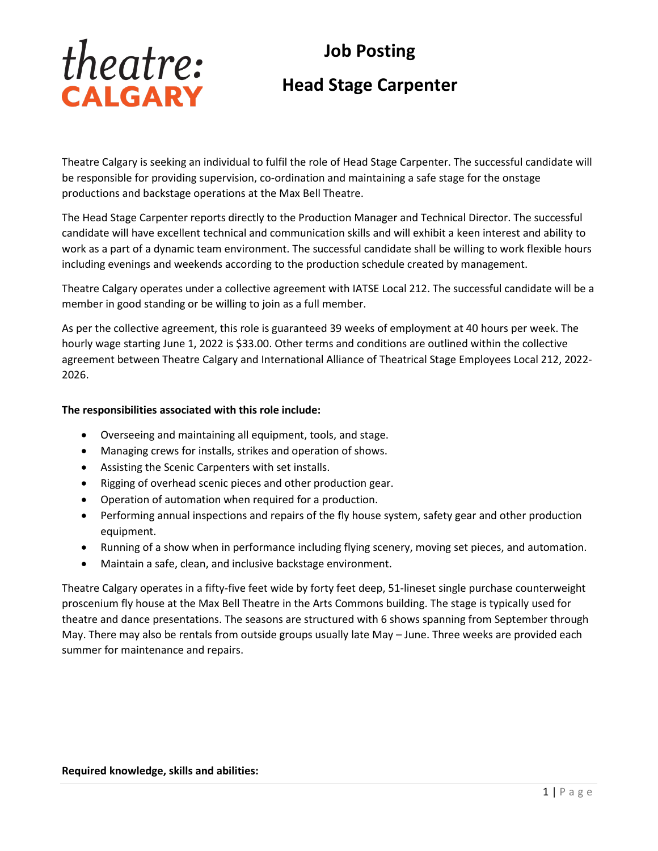# theatre: CALGARY

# **Job Posting Head Stage Carpenter**

Theatre Calgary is seeking an individual to fulfil the role of Head Stage Carpenter. The successful candidate will be responsible for providing supervision, co-ordination and maintaining a safe stage for the onstage productions and backstage operations at the Max Bell Theatre.

The Head Stage Carpenter reports directly to the Production Manager and Technical Director. The successful candidate will have excellent technical and communication skills and will exhibit a keen interest and ability to work as a part of a dynamic team environment. The successful candidate shall be willing to work flexible hours including evenings and weekends according to the production schedule created by management.

Theatre Calgary operates under a collective agreement with IATSE Local 212. The successful candidate will be a member in good standing or be willing to join as a full member.

As per the collective agreement, this role is guaranteed 39 weeks of employment at 40 hours per week. The hourly wage starting June 1, 2022 is \$33.00. Other terms and conditions are outlined within the collective agreement between Theatre Calgary and International Alliance of Theatrical Stage Employees Local 212, 2022- 2026.

#### **The responsibilities associated with this role include:**

- Overseeing and maintaining all equipment, tools, and stage.
- Managing crews for installs, strikes and operation of shows.
- Assisting the Scenic Carpenters with set installs.
- Rigging of overhead scenic pieces and other production gear.
- Operation of automation when required for a production.
- Performing annual inspections and repairs of the fly house system, safety gear and other production equipment.
- Running of a show when in performance including flying scenery, moving set pieces, and automation.
- Maintain a safe, clean, and inclusive backstage environment.

Theatre Calgary operates in a fifty-five feet wide by forty feet deep, 51-lineset single purchase counterweight proscenium fly house at the Max Bell Theatre in the Arts Commons building. The stage is typically used for theatre and dance presentations. The seasons are structured with 6 shows spanning from September through May. There may also be rentals from outside groups usually late May – June. Three weeks are provided each summer for maintenance and repairs.